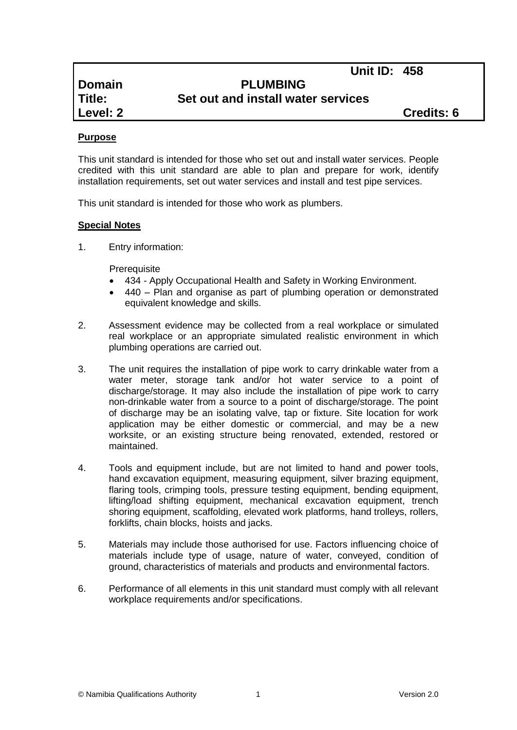**Unit ID: 458**

## **Domain PLUMBING Title: Set out and install water services**

**Level: 2 Credits: 6**

### **Purpose**

This unit standard is intended for those who set out and install water services. People credited with this unit standard are able to plan and prepare for work, identify installation requirements, set out water services and install and test pipe services.

This unit standard is intended for those who work as plumbers.

### **Special Notes**

1. Entry information:

**Prerequisite** 

- 434 *-* Apply Occupational Health and Safety in Working Environment.
- 440 Plan and organise as part of plumbing operation or demonstrated equivalent knowledge and skills.
- 2. Assessment evidence may be collected from a real workplace or simulated real workplace or an appropriate simulated realistic environment in which plumbing operations are carried out.
- 3. The unit requires the installation of pipe work to carry drinkable water from a water meter, storage tank and/or hot water service to a point of discharge/storage. It may also include the installation of pipe work to carry non-drinkable water from a source to a point of discharge/storage. The point of discharge may be an isolating valve, tap or fixture. Site location for work application may be either domestic or commercial, and may be a new worksite, or an existing structure being renovated, extended, restored or maintained.
- 4. Tools and equipment include, but are not limited to hand and power tools, hand excavation equipment, measuring equipment, silver brazing equipment, flaring tools, crimping tools, pressure testing equipment, bending equipment, lifting/load shifting equipment, mechanical excavation equipment, trench shoring equipment, scaffolding, elevated work platforms, hand trolleys, rollers, forklifts, chain blocks, hoists and jacks.
- 5. Materials may include those authorised for use. Factors influencing choice of materials include type of usage, nature of water, conveyed, condition of ground, characteristics of materials and products and environmental factors.
- 6. Performance of all elements in this unit standard must comply with all relevant workplace requirements and/or specifications.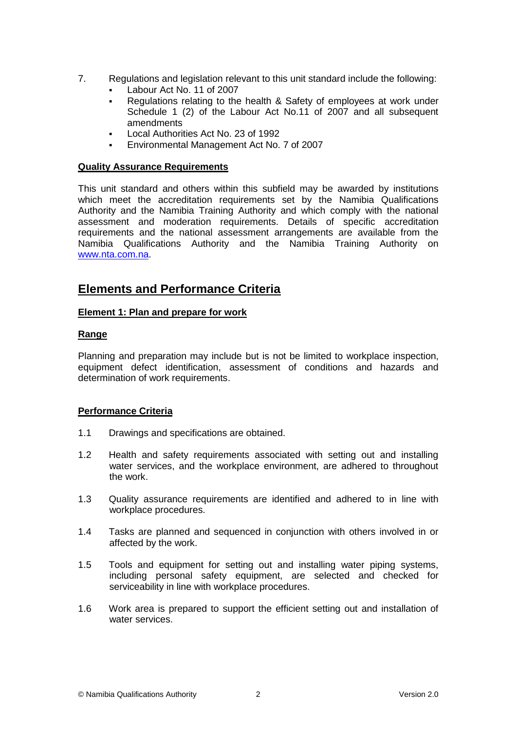- 7. Regulations and legislation relevant to this unit standard include the following: Labour Act No. 11 of 2007
	- Regulations relating to the health & Safety of employees at work under Schedule 1 (2) of the Labour Act No.11 of 2007 and all subsequent amendments
	- Local Authorities Act No. 23 of 1992
	- Environmental Management Act No. 7 of 2007

#### **Quality Assurance Requirements**

This unit standard and others within this subfield may be awarded by institutions which meet the accreditation requirements set by the Namibia Qualifications Authority and the Namibia Training Authority and which comply with the national assessment and moderation requirements. Details of specific accreditation requirements and the national assessment arrangements are available from the Namibia Qualifications Authority and the Namibia Training Authority on [www.nta.com.na.](http://www.nta.com.na/)

# **Elements and Performance Criteria**

### **Element 1: Plan and prepare for work**

### **Range**

Planning and preparation may include but is not be limited to workplace inspection, equipment defect identification, assessment of conditions and hazards and determination of work requirements.

### **Performance Criteria**

- 1.1 Drawings and specifications are obtained.
- 1.2 Health and safety requirements associated with setting out and installing water services, and the workplace environment, are adhered to throughout the work.
- 1.3 Quality assurance requirements are identified and adhered to in line with workplace procedures.
- 1.4 Tasks are planned and sequenced in conjunction with others involved in or affected by the work.
- 1.5 Tools and equipment for setting out and installing water piping systems, including personal safety equipment, are selected and checked for serviceability in line with workplace procedures.
- 1.6 Work area is prepared to support the efficient setting out and installation of water services.